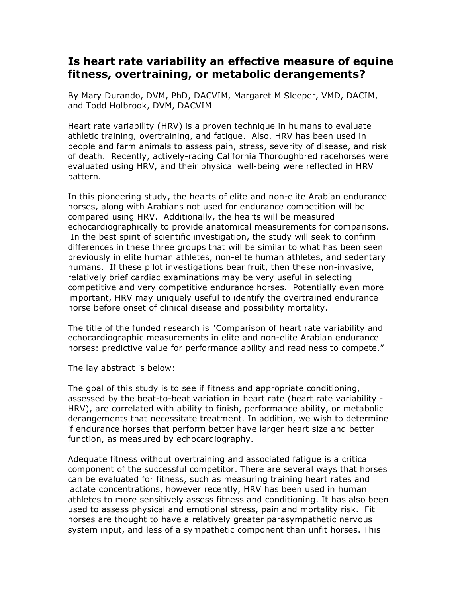## **Is heart rate variability an effective measure of equine fitness, overtraining, or metabolic derangements?**

By Mary Durando, DVM, PhD, DACVIM, Margaret M Sleeper, VMD, DACIM, and Todd Holbrook, DVM, DACVIM

Heart rate variability (HRV) is a proven technique in humans to evaluate athletic training, overtraining, and fatigue. Also, HRV has been used in people and farm animals to assess pain, stress, severity of disease, and risk of death. Recently, actively-racing California Thoroughbred racehorses were evaluated using HRV, and their physical well-being were reflected in HRV pattern.

In this pioneering study, the hearts of elite and non-elite Arabian endurance horses, along with Arabians not used for endurance competition will be compared using HRV. Additionally, the hearts will be measured echocardiographically to provide anatomical measurements for comparisons. In the best spirit of scientific investigation, the study will seek to confirm differences in these three groups that will be similar to what has been seen previously in elite human athletes, non-elite human athletes, and sedentary humans. If these pilot investigations bear fruit, then these non-invasive, relatively brief cardiac examinations may be very useful in selecting competitive and very competitive endurance horses. Potentially even more important, HRV may uniquely useful to identify the overtrained endurance horse before onset of clinical disease and possibility mortality.

The title of the funded research is "Comparison of heart rate variability and echocardiographic measurements in elite and non-elite Arabian endurance horses: predictive value for performance ability and readiness to compete."

The lay abstract is below:

The goal of this study is to see if fitness and appropriate conditioning, assessed by the beat-to-beat variation in heart rate (heart rate variability - HRV), are correlated with ability to finish, performance ability, or metabolic derangements that necessitate treatment. In addition, we wish to determine if endurance horses that perform better have larger heart size and better function, as measured by echocardiography.

Adequate fitness without overtraining and associated fatigue is a critical component of the successful competitor. There are several ways that horses can be evaluated for fitness, such as measuring training heart rates and lactate concentrations, however recently, HRV has been used in human athletes to more sensitively assess fitness and conditioning. It has also been used to assess physical and emotional stress, pain and mortality risk. Fit horses are thought to have a relatively greater parasympathetic nervous system input, and less of a sympathetic component than unfit horses. This